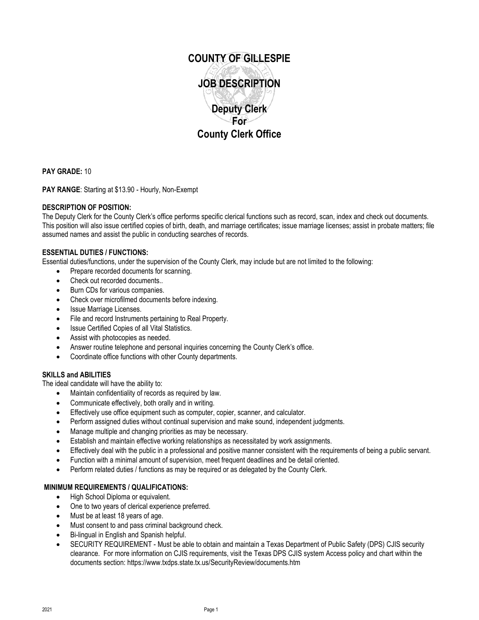

**PAY GRADE:** 10

**PAY RANGE**: Starting at \$13.90 - Hourly, Non-Exempt

# **DESCRIPTION OF POSITION:**

The Deputy Clerk for the County Clerk's office performs specific clerical functions such as record, scan, index and check out documents. This position will also issue certified copies of birth, death, and marriage certificates; issue marriage licenses; assist in probate matters; file assumed names and assist the public in conducting searches of records.

## **ESSENTIAL DUTIES / FUNCTIONS:**

Essential duties/functions, under the supervision of the County Clerk, may include but are not limited to the following:

- Prepare recorded documents for scanning.
- Check out recorded documents..
- Burn CDs for various companies.
- Check over microfilmed documents before indexing.
- Issue Marriage Licenses.
- File and record Instruments pertaining to Real Property.
- **Issue Certified Copies of all Vital Statistics.**
- Assist with photocopies as needed.
- Answer routine telephone and personal inquiries concerning the County Clerk's office.
- Coordinate office functions with other County departments.

## **SKILLS and ABILITIES**

The ideal candidate will have the ability to:

- Maintain confidentiality of records as required by law.
- Communicate effectively, both orally and in writing.
- Effectively use office equipment such as computer, copier, scanner, and calculator.
- Perform assigned duties without continual supervision and make sound, independent judgments.
- Manage multiple and changing priorities as may be necessary.
- Establish and maintain effective working relationships as necessitated by work assignments.
- Effectively deal with the public in a professional and positive manner consistent with the requirements of being a public servant.
- Function with a minimal amount of supervision, meet frequent deadlines and be detail oriented.
- Perform related duties / functions as may be required or as delegated by the County Clerk.

## **MINIMUM REQUIREMENTS / QUALIFICATIONS:**

- High School Diploma or equivalent.
- One to two years of clerical experience preferred.
- Must be at least 18 years of age.
- Must consent to and pass criminal background check.
- Bi-lingual in English and Spanish helpful.
- SECURITY REQUIREMENT Must be able to obtain and maintain a Texas Department of Public Safety (DPS) CJIS security clearance. For more information on CJIS requirements, visit the Texas DPS CJIS system Access policy and chart within the documents section: https://www.txdps.state.tx.us/SecurityReview/documents.htm